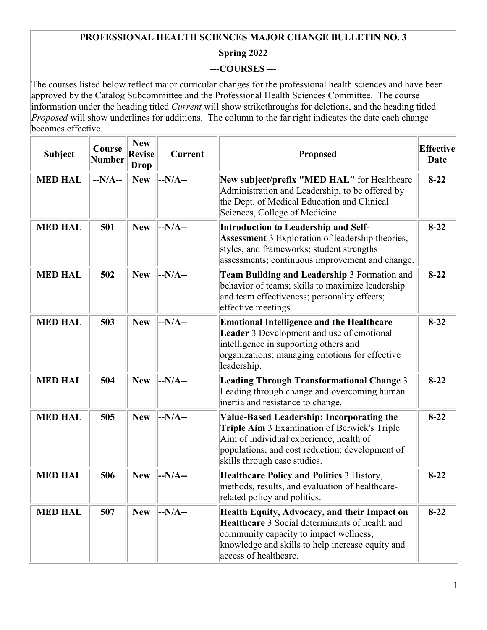## **PROFESSIONAL HEALTH SCIENCES MAJOR CHANGE BULLETIN NO. 3**

## **Spring 2022**

## **---COURSES ---**

The courses listed below reflect major curricular changes for the professional health sciences and have been approved by the Catalog Subcommittee and the Professional Health Sciences Committee. The course information under the heading titled *Current* will show strikethroughs for deletions, and the heading titled *Proposed* will show underlines for additions. The column to the far right indicates the date each change becomes effective.

| <b>Subject</b> | Course<br>Number | <b>New</b><br><b>Revise</b><br><b>Drop</b> | <b>Current</b> | Proposed                                                                                                                                                                                                                       | <b>Effective</b><br>Date |
|----------------|------------------|--------------------------------------------|----------------|--------------------------------------------------------------------------------------------------------------------------------------------------------------------------------------------------------------------------------|--------------------------|
| <b>MED HAL</b> | $-N/A-$          | <b>New</b>                                 | $-N/A-$        | New subject/prefix "MED HAL" for Healthcare<br>Administration and Leadership, to be offered by<br>the Dept. of Medical Education and Clinical<br>Sciences, College of Medicine                                                 | $8 - 22$                 |
| <b>MED HAL</b> | 501              | <b>New</b>                                 | $-N/A-$        | <b>Introduction to Leadership and Self-</b><br>Assessment 3 Exploration of leadership theories,<br>styles, and frameworks; student strengths<br>assessments; continuous improvement and change.                                | $8 - 22$                 |
| <b>MED HAL</b> | 502              | <b>New</b>                                 | $-N/A-$        | Team Building and Leadership 3 Formation and<br>behavior of teams; skills to maximize leadership<br>and team effectiveness; personality effects;<br>effective meetings.                                                        | $8 - 22$                 |
| <b>MED HAL</b> | 503              | <b>New</b>                                 | $-N/A-$        | <b>Emotional Intelligence and the Healthcare</b><br>Leader 3 Development and use of emotional<br>intelligence in supporting others and<br>organizations; managing emotions for effective<br>leadership.                        | $8 - 22$                 |
| <b>MED HAL</b> | 504              | <b>New</b>                                 | $-N/A-$        | <b>Leading Through Transformational Change 3</b><br>Leading through change and overcoming human<br>inertia and resistance to change.                                                                                           | $8 - 22$                 |
| <b>MED HAL</b> | 505              | <b>New</b>                                 | $-N/A-$        | <b>Value-Based Leadership: Incorporating the</b><br>Triple Aim 3 Examination of Berwick's Triple<br>Aim of individual experience, health of<br>populations, and cost reduction; development of<br>skills through case studies. | $8 - 22$                 |
| <b>MED HAL</b> | 506              | <b>New</b>                                 | $-N/A-$        | <b>Healthcare Policy and Politics 3 History,</b><br>methods, results, and evaluation of healthcare-<br>related policy and politics.                                                                                            | $8 - 22$                 |
| <b>MED HAL</b> | 507              | <b>New</b>                                 | --N/A--        | Health Equity, Advocacy, and their Impact on<br>Healthcare 3 Social determinants of health and<br>community capacity to impact wellness;<br>knowledge and skills to help increase equity and<br>access of healthcare.          | $8-22$                   |